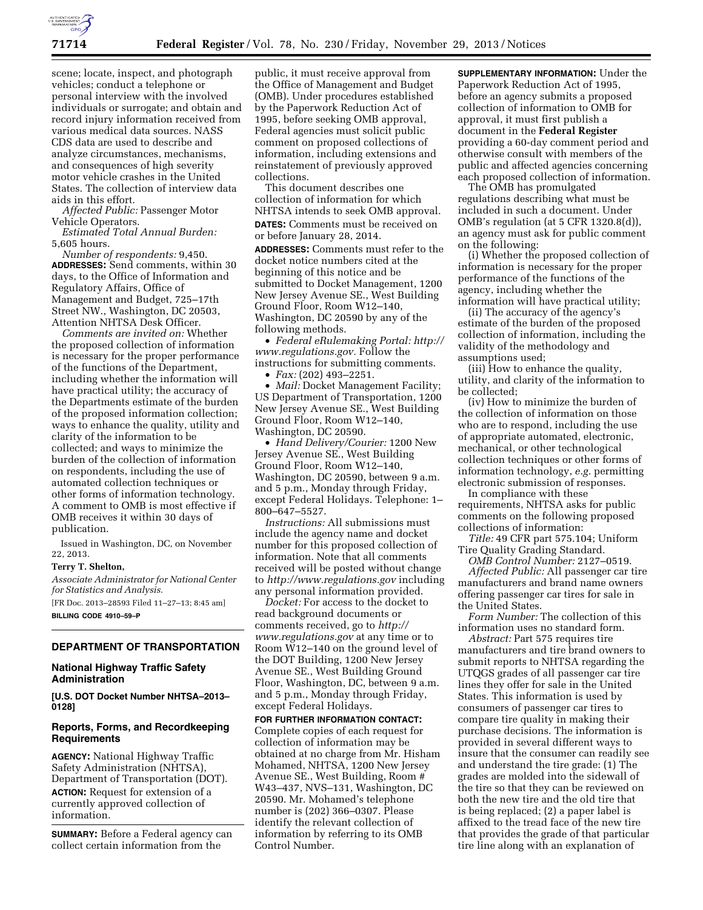

scene; locate, inspect, and photograph vehicles; conduct a telephone or personal interview with the involved individuals or surrogate; and obtain and record injury information received from various medical data sources. NASS CDS data are used to describe and analyze circumstances, mechanisms, and consequences of high severity motor vehicle crashes in the United States. The collection of interview data aids in this effort.

*Affected Public:* Passenger Motor Vehicle Operators.

*Estimated Total Annual Burden:*  5,605 hours.

*Number of respondents:* 9,450. **ADDRESSES:** Send comments, within 30 days, to the Office of Information and Regulatory Affairs, Office of Management and Budget, 725–17th Street NW., Washington, DC 20503, Attention NHTSA Desk Officer.

*Comments are invited on:* Whether the proposed collection of information is necessary for the proper performance of the functions of the Department, including whether the information will have practical utility; the accuracy of the Departments estimate of the burden of the proposed information collection; ways to enhance the quality, utility and clarity of the information to be collected; and ways to minimize the burden of the collection of information on respondents, including the use of automated collection techniques or other forms of information technology. A comment to OMB is most effective if OMB receives it within 30 days of publication.

Issued in Washington, DC, on November 22, 2013.

### **Terry T. Shelton,**

*Associate Administrator for National Center for Statistics and Analysis.* 

[FR Doc. 2013–28593 Filed 11–27–13; 8:45 am] **BILLING CODE 4910–59–P** 

# **DEPARTMENT OF TRANSPORTATION**

# **National Highway Traffic Safety Administration**

**[U.S. DOT Docket Number NHTSA–2013– 0128]** 

## **Reports, Forms, and Recordkeeping Requirements**

**AGENCY:** National Highway Traffic Safety Administration (NHTSA), Department of Transportation (DOT). **ACTION:** Request for extension of a currently approved collection of information.

**SUMMARY:** Before a Federal agency can collect certain information from the

public, it must receive approval from the Office of Management and Budget (OMB). Under procedures established by the Paperwork Reduction Act of 1995, before seeking OMB approval, Federal agencies must solicit public comment on proposed collections of information, including extensions and reinstatement of previously approved collections.

This document describes one collection of information for which NHTSA intends to seek OMB approval. **DATES:** Comments must be received on or before January 28, 2014.

**ADDRESSES:** Comments must refer to the docket notice numbers cited at the beginning of this notice and be submitted to Docket Management, 1200 New Jersey Avenue SE., West Building Ground Floor, Room W12–140, Washington, DC 20590 by any of the following methods.

• *Federal eRulemaking Portal: [http://](http://www.regulations.gov)  [www.regulations.gov.](http://www.regulations.gov)* Follow the instructions for submitting comments.

• *Fax:* (202) 493–2251.

• *Mail:* Docket Management Facility; US Department of Transportation, 1200 New Jersey Avenue SE., West Building Ground Floor, Room W12–140, Washington, DC 20590.

• *Hand Delivery/Courier:* 1200 New Jersey Avenue SE., West Building Ground Floor, Room W12–140, Washington, DC 20590, between 9 a.m. and 5 p.m., Monday through Friday, except Federal Holidays. Telephone: 1– 800–647–5527.

*Instructions:* All submissions must include the agency name and docket number for this proposed collection of information. Note that all comments received will be posted without change to *<http://www.regulations.gov>*including any personal information provided.

*Docket:* For access to the docket to read background documents or comments received, go to *[http://](http://www.regulations.gov) [www.regulations.gov](http://www.regulations.gov)* at any time or to Room W12–140 on the ground level of the DOT Building, 1200 New Jersey Avenue SE., West Building Ground Floor, Washington, DC, between 9 a.m. and 5 p.m., Monday through Friday, except Federal Holidays.

**FOR FURTHER INFORMATION CONTACT:**  Complete copies of each request for collection of information may be obtained at no charge from Mr. Hisham Mohamed, NHTSA, 1200 New Jersey Avenue SE., West Building, Room # W43–437, NVS–131, Washington, DC 20590. Mr. Mohamed's telephone number is (202) 366–0307. Please identify the relevant collection of information by referring to its OMB Control Number.

**SUPPLEMENTARY INFORMATION:** Under the Paperwork Reduction Act of 1995, before an agency submits a proposed collection of information to OMB for approval, it must first publish a document in the **Federal Register**  providing a 60-day comment period and otherwise consult with members of the public and affected agencies concerning each proposed collection of information.

The OMB has promulgated regulations describing what must be included in such a document. Under OMB's regulation (at 5 CFR 1320.8(d)), an agency must ask for public comment on the following:

(i) Whether the proposed collection of information is necessary for the proper performance of the functions of the agency, including whether the information will have practical utility;

(ii) The accuracy of the agency's estimate of the burden of the proposed collection of information, including the validity of the methodology and assumptions used;

(iii) How to enhance the quality, utility, and clarity of the information to be collected;

(iv) How to minimize the burden of the collection of information on those who are to respond, including the use of appropriate automated, electronic, mechanical, or other technological collection techniques or other forms of information technology, *e.g.* permitting electronic submission of responses.

In compliance with these requirements, NHTSA asks for public comments on the following proposed collections of information:

*Title:* 49 CFR part 575.104; Uniform Tire Quality Grading Standard.

*OMB Control Number:* 2127–0519. *Affected Public:* All passenger car tire

manufacturers and brand name owners offering passenger car tires for sale in the United States.

*Form Number:* The collection of this information uses no standard form.

*Abstract:* Part 575 requires tire manufacturers and tire brand owners to submit reports to NHTSA regarding the UTQGS grades of all passenger car tire lines they offer for sale in the United States. This information is used by consumers of passenger car tires to compare tire quality in making their purchase decisions. The information is provided in several different ways to insure that the consumer can readily see and understand the tire grade: (1) The grades are molded into the sidewall of the tire so that they can be reviewed on both the new tire and the old tire that is being replaced; (2) a paper label is affixed to the tread face of the new tire that provides the grade of that particular tire line along with an explanation of